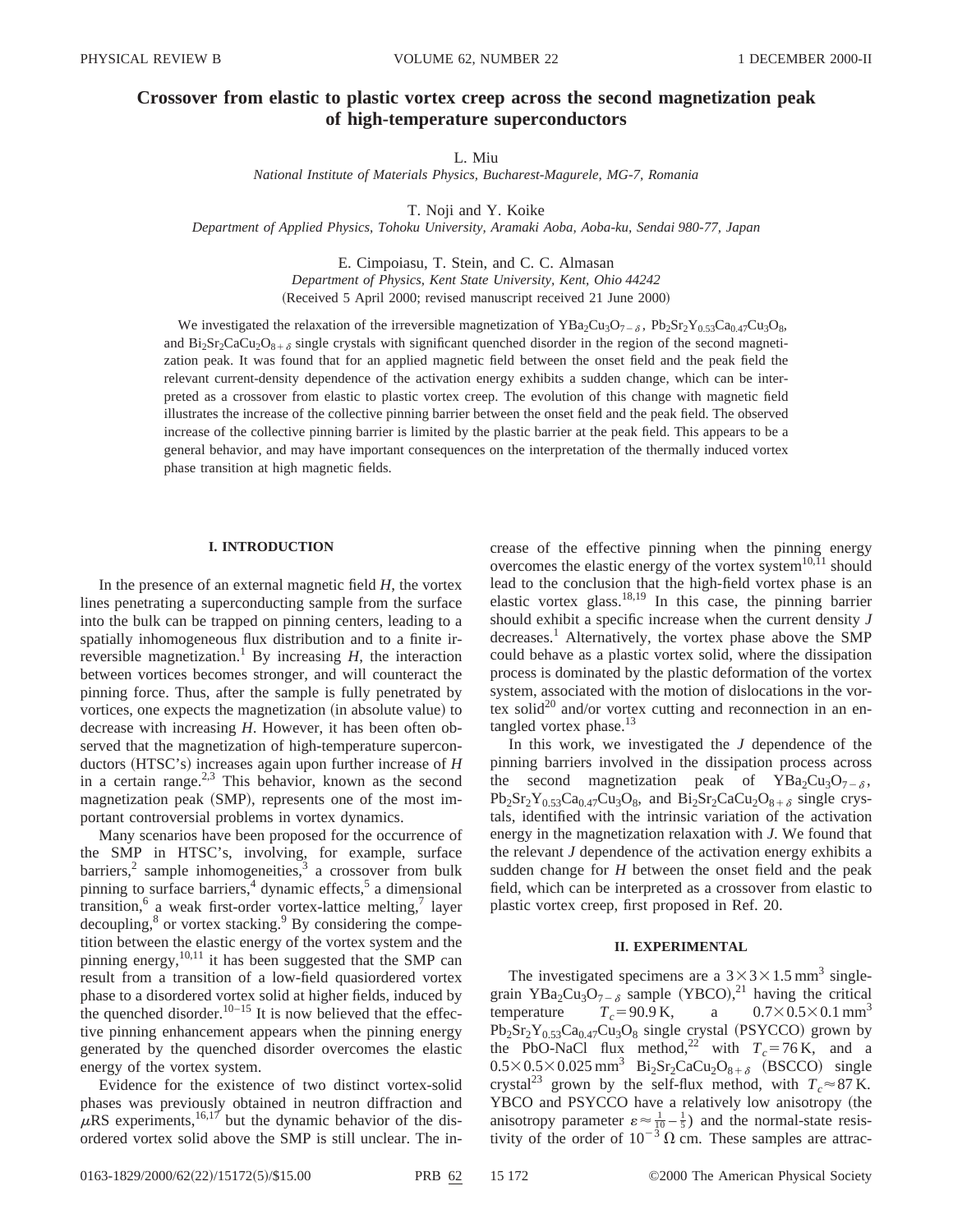# **Crossover from elastic to plastic vortex creep across the second magnetization peak of high-temperature superconductors**

L. Miu

*National Institute of Materials Physics, Bucharest-Magurele, MG-7, Romania*

T. Noji and Y. Koike

*Department of Applied Physics, Tohoku University, Aramaki Aoba, Aoba-ku, Sendai 980-77, Japan*

E. Cimpoiasu, T. Stein, and C. C. Almasan *Department of Physics, Kent State University, Kent, Ohio 44242* (Received 5 April 2000; revised manuscript received 21 June 2000)

We investigated the relaxation of the irreversible magnetization of  $YBa_2Cu_3O_{7-\delta}$ ,  $Pb_2Sr_2Y_{0.53}Ca_{0.47}Cu_3O_8$ , and  $Bi_2Sr_2CaCu_2O_{8+\delta}$  single crystals with significant quenched disorder in the region of the second magnetization peak. It was found that for an applied magnetic field between the onset field and the peak field the relevant current-density dependence of the activation energy exhibits a sudden change, which can be interpreted as a crossover from elastic to plastic vortex creep. The evolution of this change with magnetic field illustrates the increase of the collective pinning barrier between the onset field and the peak field. The observed increase of the collective pinning barrier is limited by the plastic barrier at the peak field. This appears to be a general behavior, and may have important consequences on the interpretation of the thermally induced vortex phase transition at high magnetic fields.

## **I. INTRODUCTION**

In the presence of an external magnetic field *H*, the vortex lines penetrating a superconducting sample from the surface into the bulk can be trapped on pinning centers, leading to a spatially inhomogeneous flux distribution and to a finite irreversible magnetization.<sup>1</sup> By increasing  $H$ , the interaction between vortices becomes stronger, and will counteract the pinning force. Thus, after the sample is fully penetrated by vortices, one expects the magnetization (in absolute value) to decrease with increasing *H*. However, it has been often observed that the magnetization of high-temperature superconductors (HTSC's) increases again upon further increase of *H* in a certain range.<sup>2,3</sup> This behavior, known as the second magnetization peak (SMP), represents one of the most important controversial problems in vortex dynamics.

Many scenarios have been proposed for the occurrence of the SMP in HTSC's, involving, for example, surface barriers, $^2$  sample inhomogeneities, $^3$  a crossover from bulk pinning to surface barriers, $4$  dynamic effects, $5$  a dimensional transition, $6$  a weak first-order vortex-lattice melting, $7$  layer decoupling, $8$  or vortex stacking. $9$  By considering the competition between the elastic energy of the vortex system and the pinning energy,  $^{10,11}$  it has been suggested that the SMP can result from a transition of a low-field quasiordered vortex phase to a disordered vortex solid at higher fields, induced by the quenched disorder.<sup>10–15</sup> It is now believed that the effective pinning enhancement appears when the pinning energy generated by the quenched disorder overcomes the elastic energy of the vortex system.

Evidence for the existence of two distinct vortex-solid phases was previously obtained in neutron diffraction and  $\mu$ RS experiments,<sup>16,17</sup> but the dynamic behavior of the disordered vortex solid above the SMP is still unclear. The increase of the effective pinning when the pinning energy overcomes the elastic energy of the vortex system $10,11$  should lead to the conclusion that the high-field vortex phase is an elastic vortex glass.18,19 In this case, the pinning barrier should exhibit a specific increase when the current density *J* decreases.<sup>1</sup> Alternatively, the vortex phase above the SMP could behave as a plastic vortex solid, where the dissipation process is dominated by the plastic deformation of the vortex system, associated with the motion of dislocations in the vortex solid<sup>20</sup> and/or vortex cutting and reconnection in an entangled vortex phase.<sup>13</sup>

In this work, we investigated the *J* dependence of the pinning barriers involved in the dissipation process across the second magnetization peak of  $YBa<sub>2</sub>Cu<sub>3</sub>O<sub>7-\delta</sub>$ ,  $Pb_2Sr_2Y_{0.53}Ca_{0.47}Cu_3O_8$ , and  $Bi_2Sr_2CaCu_2O_{8+\delta}$  single crystals, identified with the intrinsic variation of the activation energy in the magnetization relaxation with *J*. We found that the relevant *J* dependence of the activation energy exhibits a sudden change for *H* between the onset field and the peak field, which can be interpreted as a crossover from elastic to plastic vortex creep, first proposed in Ref. 20.

## **II. EXPERIMENTAL**

The investigated specimens are a  $3 \times 3 \times 1.5$  mm<sup>3</sup> singlegrain YBa<sub>2</sub>Cu<sub>3</sub>O<sub>7- $\delta$ </sub> sample (YBCO),<sup>21</sup> having the critical temperature  $T_c = 90.9 \text{ K}$ , a  $0.7 \times 0.5 \times 0.1 \text{ mm}^3$  $Pb_2Sr_2Y_{0.53}Ca_{0.47}Cu_3O_8$  single crystal (PSYCCO) grown by the PbO-NaCl flux method,<sup>22</sup> with  $T_c = 76$  K, and a  $0.5 \times 0.5 \times 0.025$  mm<sup>3</sup> Bi<sub>2</sub>Sr<sub>2</sub>CaCu<sub>2</sub>O<sub>8+ $\delta$ </sub> (BSCCO) single crystal<sup>23</sup> grown by the self-flux method, with  $T_c \approx 87$  K. YBCO and PSYCCO have a relatively low anisotropy (the anisotropy parameter  $\varepsilon \approx \frac{1}{10} - \frac{1}{5}$  and the normal-state resistivity of the order of  $10^{-3} \Omega$  cm. These samples are attrac-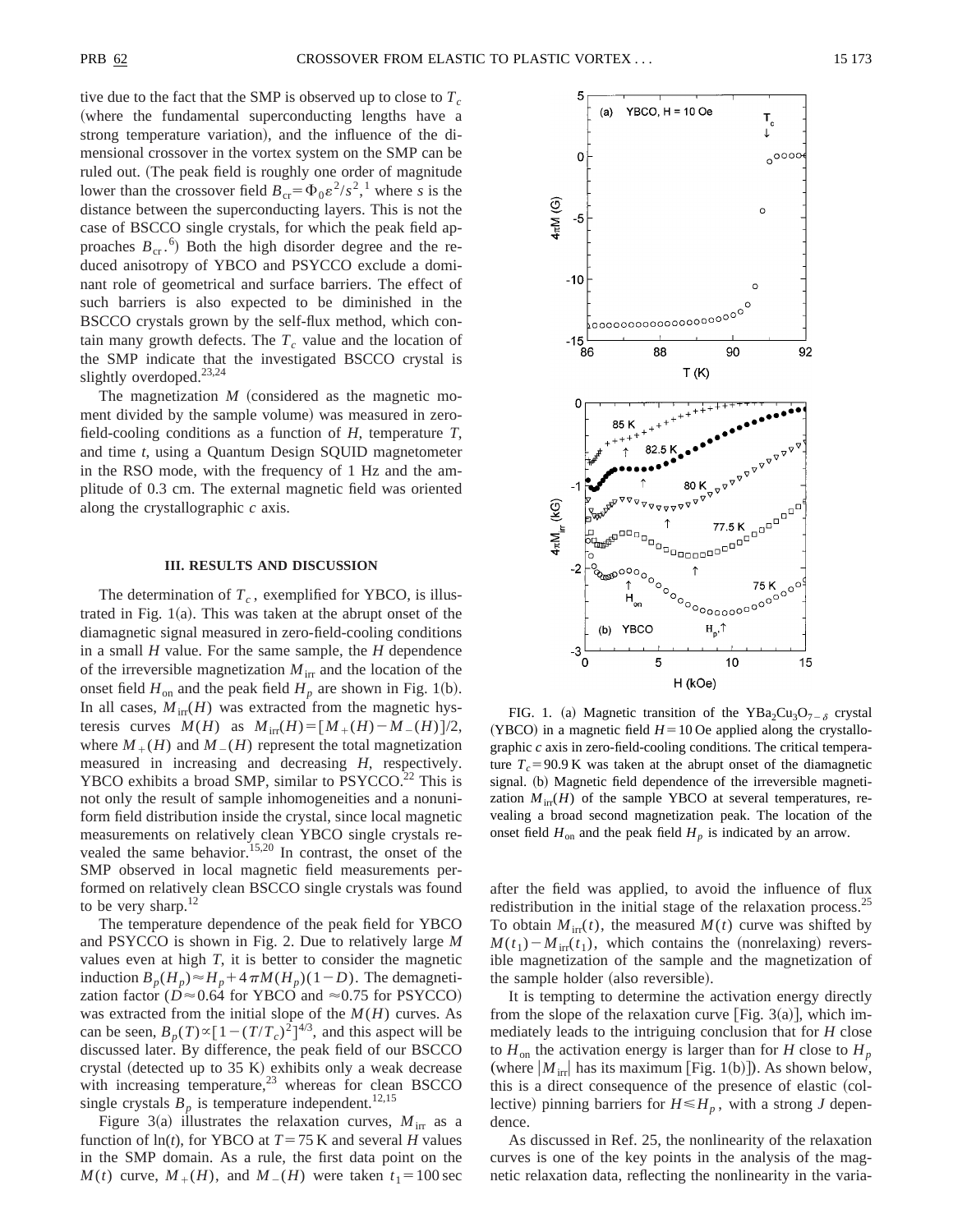tive due to the fact that the SMP is observed up to close to  $T_c$ (where the fundamental superconducting lengths have a strong temperature variation), and the influence of the dimensional crossover in the vortex system on the SMP can be ruled out. (The peak field is roughly one order of magnitude lower than the crossover field  $B_{cr} = \Phi_0 \varepsilon^2 / s^2$ ,<sup>1</sup> where *s* is the distance between the superconducting layers. This is not the case of BSCCO single crystals, for which the peak field approaches  $B_{cr}$ .<sup>6</sup>) Both the high disorder degree and the reduced anisotropy of YBCO and PSYCCO exclude a dominant role of geometrical and surface barriers. The effect of such barriers is also expected to be diminished in the BSCCO crystals grown by the self-flux method, which contain many growth defects. The  $T_c$  value and the location of the SMP indicate that the investigated BSCCO crystal is slightly overdoped.<sup>23,24</sup>

The magnetization  $M$  (considered as the magnetic moment divided by the sample volume) was measured in zerofield-cooling conditions as a function of *H*, temperature *T*, and time *t*, using a Quantum Design SQUID magnetometer in the RSO mode, with the frequency of 1 Hz and the amplitude of 0.3 cm. The external magnetic field was oriented along the crystallographic *c* axis.

#### **III. RESULTS AND DISCUSSION**

The determination of  $T_c$ , exemplified for YBCO, is illustrated in Fig.  $1(a)$ . This was taken at the abrupt onset of the diamagnetic signal measured in zero-field-cooling conditions in a small *H* value. For the same sample, the *H* dependence of the irreversible magnetization  $M_{irr}$  and the location of the onset field  $H_{\text{on}}$  and the peak field  $H_p$  are shown in Fig. 1(b). In all cases,  $M_{irr}(H)$  was extracted from the magnetic hysteresis curves  $M(H)$  as  $M_{irr}(H) = [M_{+}(H) - M_{-}(H)]/2$ , where  $M_+(H)$  and  $M_-(H)$  represent the total magnetization measured in increasing and decreasing *H*, respectively. YBCO exhibits a broad SMP, similar to  $PSYCCO<sup>22</sup>$  This is not only the result of sample inhomogeneities and a nonuniform field distribution inside the crystal, since local magnetic measurements on relatively clean YBCO single crystals revealed the same behavior.<sup>15,20</sup> In contrast, the onset of the SMP observed in local magnetic field measurements performed on relatively clean BSCCO single crystals was found to be very sharp. $12$ 

The temperature dependence of the peak field for YBCO and PSYCCO is shown in Fig. 2. Due to relatively large *M* values even at high *T*, it is better to consider the magnetic induction  $B_p(H_p) \approx H_p + 4\pi M(H_p)(1-D)$ . The demagnetization factor ( $D \approx 0.64$  for YBCO and  $\approx 0.75$  for PSYCCO) was extracted from the initial slope of the *M*(*H*) curves. As can be seen,  $B_p(T) \propto [1 - (T/T_c)^2]^{4/3}$ , and this aspect will be discussed later. By difference, the peak field of our BSCCO crystal (detected up to  $35 K$ ) exhibits only a weak decrease with increasing temperature, $^{23}$  whereas for clean BSCCO single crystals  $B_p$  is temperature independent.<sup>12,15</sup>

Figure 3(a) illustrates the relaxation curves,  $M_{irr}$  as a function of  $ln(t)$ , for YBCO at  $T = 75$  K and several *H* values in the SMP domain. As a rule, the first data point on the *M*(*t*) curve,  $M_{+}(H)$ , and  $M_{-}(H)$  were taken  $t_1 = 100$  sec



FIG. 1. (a) Magnetic transition of the YBa<sub>2</sub>Cu<sub>3</sub>O<sub>7- $\delta$ </sub> crystal  $(YBCO)$  in a magnetic field  $H=10$  Oe applied along the crystallographic *c* axis in zero-field-cooling conditions. The critical temperature  $T_c$ =90.9 K was taken at the abrupt onset of the diamagnetic signal. (b) Magnetic field dependence of the irreversible magnetization  $M_{irr}(H)$  of the sample YBCO at several temperatures, revealing a broad second magnetization peak. The location of the onset field  $H_{\text{on}}$  and the peak field  $H_p$  is indicated by an arrow.

after the field was applied, to avoid the influence of flux redistribution in the initial stage of the relaxation process.<sup>25</sup> To obtain  $M_{irr}(t)$ , the measured  $M(t)$  curve was shifted by  $M(t_1) - M_{irr}(t_1)$ , which contains the (nonrelaxing) reversible magnetization of the sample and the magnetization of the sample holder (also reversible).

It is tempting to determine the activation energy directly from the slope of the relaxation curve [Fig. 3(a)], which immediately leads to the intriguing conclusion that for *H* close to  $H_{\text{on}}$  the activation energy is larger than for *H* close to  $H_p$ (where  $|M_{irr}|$  has its maximum [Fig. 1(b)]). As shown below, this is a direct consequence of the presence of elastic (collective) pinning barriers for  $H \le H_p$ , with a strong *J* dependence.

As discussed in Ref. 25, the nonlinearity of the relaxation curves is one of the key points in the analysis of the magnetic relaxation data, reflecting the nonlinearity in the varia-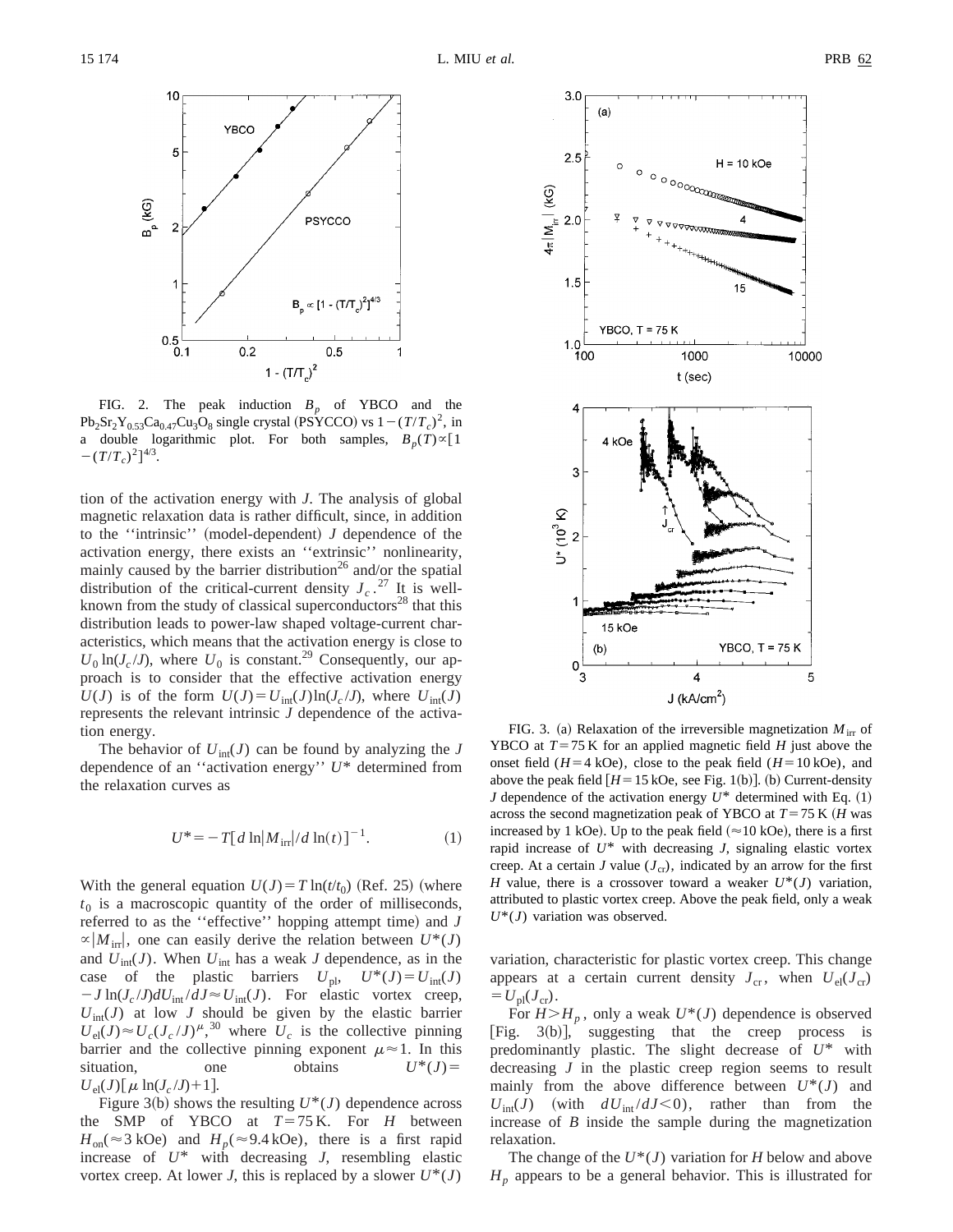

FIG. 2. The peak induction  $B<sub>p</sub>$  of YBCO and the  $Pb_2Sr_2Y_0s_3Ca_{0.47}Cu_3O_8$  single crystal (PSYCCO) vs  $1-(T/T_c)^2$ , in a double logarithmic plot. For both samples,  $B_p(T) \propto [1]$  $-(T/T_c)^2]^{4/3}.$ 

tion of the activation energy with *J*. The analysis of global magnetic relaxation data is rather difficult, since, in addition to the "intrinsic" (model-dependent)  $J$  dependence of the activation energy, there exists an ''extrinsic'' nonlinearity, mainly caused by the barrier distribution<sup>26</sup> and/or the spatial distribution of the critical-current density  $J_c$ .<sup>27</sup> It is wellknown from the study of classical superconductors<sup>28</sup> that this distribution leads to power-law shaped voltage-current characteristics, which means that the activation energy is close to  $U_0$  ln(*J<sub>c</sub>*/*J*), where  $U_0$  is constant.<sup>29</sup> Consequently, our approach is to consider that the effective activation energy  $U(J)$  is of the form  $U(J) = U_{int}(J) \ln(J_c/J)$ , where  $U_{int}(J)$ represents the relevant intrinsic *J* dependence of the activation energy.

The behavior of  $U_{\text{int}}(J)$  can be found by analyzing the *J* dependence of an ''activation energy'' *U*\* determined from the relaxation curves as

$$
U^* = -T[d \ln|M_{ir}|/d \ln(t)]^{-1}.
$$
 (1)

With the general equation  $U(J) = T \ln(t/t_0)$  (Ref. 25) (where  $t_0$  is a macroscopic quantity of the order of milliseconds, referred to as the "effective" hopping attempt time) and *J*  $\alpha |M_{irr}|$ , one can easily derive the relation between  $U^*(J)$ and  $U_{\text{int}}(J)$ . When  $U_{\text{int}}$  has a weak *J* dependence, as in the case of the plastic barriers  $U_{\text{pl}}$ ,  $U^*(J) = U_{\text{int}}(J)$  $-J \ln(J_c/J) dU_{int}/dJ \approx U_{int}(J)$ . For elastic vortex creep,  $U_{\text{int}}(J)$  at low *J* should be given by the elastic barrier  $U_{el}(J) \approx U_c (J_c/J)^{\mu}$ ,<sup>30</sup> where  $U_c$  is the collective pinning barrier and the collective pinning exponent  $\mu \approx 1$ . In this situation, one obtains  $U^*(J)$  $U_{el}(J)[\mu \ln(J_c/J)+1].$ 

Figure 3(b) shows the resulting  $U^*(J)$  dependence across the SMP of YBCO at  $T=75$  K. For *H* between  $H_{on}(\approx 3 \text{ kOe})$  and  $H_p(\approx 9.4 \text{ kOe})$ , there is a first rapid increase of *U*\* with decreasing *J*, resembling elastic vortex creep. At lower *J*, this is replaced by a slower  $U^*(J)$ 



FIG. 3. (a) Relaxation of the irreversible magnetization  $M<sub>irr</sub>$  of YBCO at  $T=75$  K for an applied magnetic field *H* just above the onset field  $(H=4 kOe)$ , close to the peak field  $(H=10 kOe)$ , and above the peak field  $[H=15 \text{ kOe}]$ , see Fig. 1(b). (b) Current-density *J* dependence of the activation energy  $U^*$  determined with Eq.  $(1)$ across the second magnetization peak of YBCO at  $T = 75$  K (*H* was increased by 1 kOe). Up to the peak field ( $\approx$ 10 kOe), there is a first rapid increase of *U*\* with decreasing *J*, signaling elastic vortex creep. At a certain *J* value  $(J_{cr})$ , indicated by an arrow for the first *H* value, there is a crossover toward a weaker  $U^*(J)$  variation, attributed to plastic vortex creep. Above the peak field, only a weak *U*\*(*J*) variation was observed.

variation, characteristic for plastic vortex creep. This change appears at a certain current density  $J_{cr}$ , when  $U_{el}(J_{cr})$  $=U_{\rm pl}(J_{\rm cr})$ .

For  $H > H_p$ , only a weak  $U^*(J)$  dependence is observed [Fig.  $3(b)$ ], suggesting that the creep process is predominantly plastic. The slight decrease of *U*\* with decreasing *J* in the plastic creep region seems to result mainly from the above difference between  $U^*(J)$  and  $U_{\text{int}}(J)$  (with  $dU_{\text{int}}/dJ \le 0$ ), rather than from the increase of *B* inside the sample during the magnetization relaxation.

The change of the *U*\*(*J*) variation for *H* below and above  $H_p$  appears to be a general behavior. This is illustrated for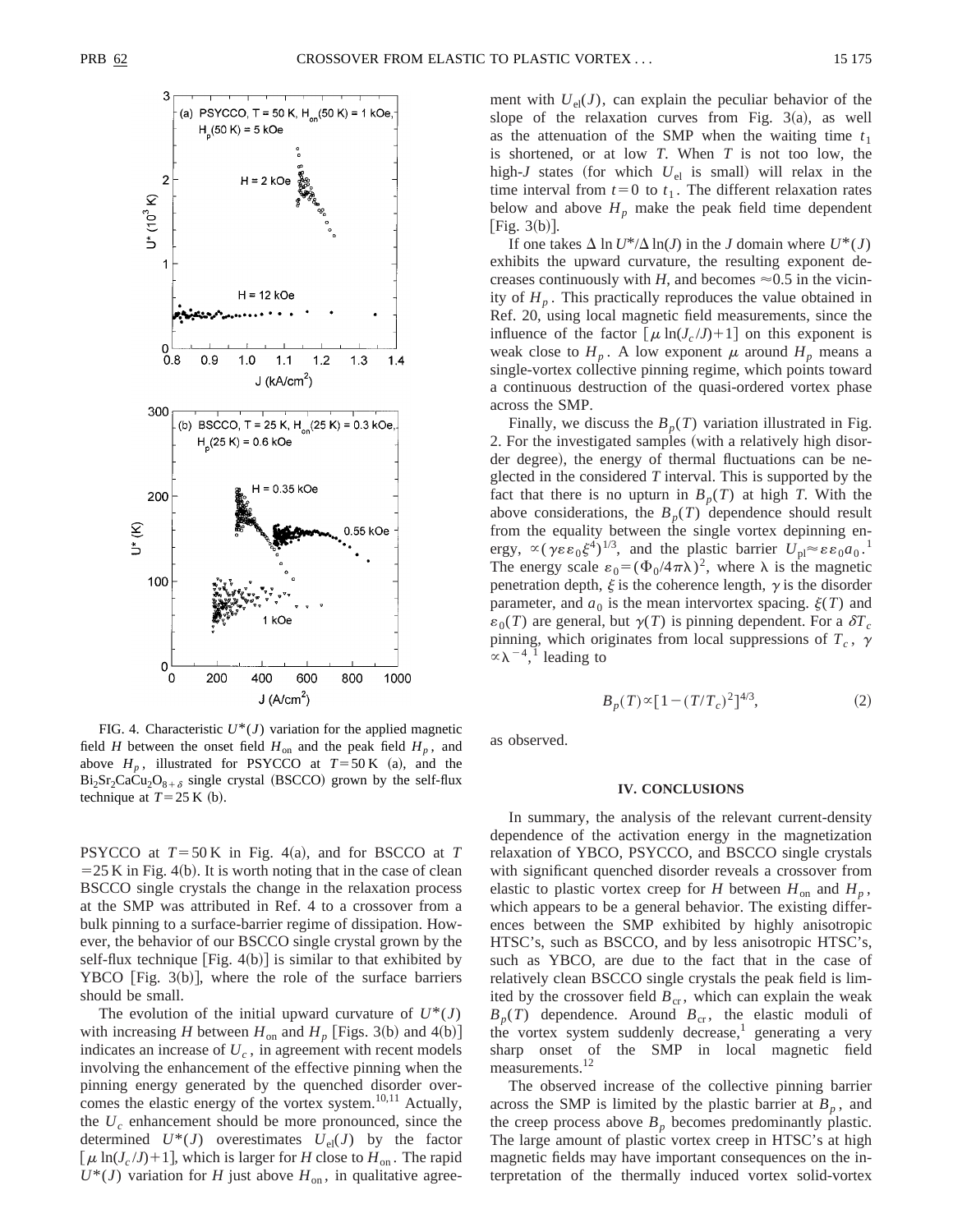

FIG. 4. Characteristic  $U^*(J)$  variation for the applied magnetic field *H* between the onset field  $H_{on}$  and the peak field  $H_p$ , and above  $H_p$ , illustrated for PSYCCO at  $T = 50$  K (a), and the  $Bi_2Sr_2CaCu_2O_{8+\delta}$  single crystal (BSCCO) grown by the self-flux technique at  $T=25$  K (b).

PSYCCO at  $T = 50$  K in Fig. 4(a), and for BSCCO at *T*  $=$  25 K in Fig. 4(b). It is worth noting that in the case of clean BSCCO single crystals the change in the relaxation process at the SMP was attributed in Ref. 4 to a crossover from a bulk pinning to a surface-barrier regime of dissipation. However, the behavior of our BSCCO single crystal grown by the self-flux technique  $\lceil$ Fig. 4(b) $\rceil$  is similar to that exhibited by YBCO  $[Fig. 3(b)]$ , where the role of the surface barriers should be small.

The evolution of the initial upward curvature of  $U^*(J)$ with increasing *H* between  $H_{\text{on}}$  and  $H_p$  [Figs. 3(b) and 4(b)] indicates an increase of  $U_c$ , in agreement with recent models involving the enhancement of the effective pinning when the pinning energy generated by the quenched disorder overcomes the elastic energy of the vortex system.<sup>10,11</sup> Actually, the  $U_c$  enhancement should be more pronounced, since the determined  $U^*(J)$  overestimates  $U_{el}(J)$  by the factor  $\left[\mu \ln(J_c/J) + 1\right]$ , which is larger for *H* close to  $H_{on}$ . The rapid  $U^*(J)$  variation for *H* just above  $H_{on}$ , in qualitative agreement with  $U_{el}(J)$ , can explain the peculiar behavior of the slope of the relaxation curves from Fig.  $3(a)$ , as well as the attenuation of the SMP when the waiting time  $t_1$ is shortened, or at low *T*. When *T* is not too low, the high- $J$  states (for which  $U_{el}$  is small) will relax in the time interval from  $t=0$  to  $t<sub>1</sub>$ . The different relaxation rates below and above  $H_p$  make the peak field time dependent [Fig.  $3(b)$ ].

If one takes  $\Delta \ln U^*/\Delta \ln(J)$  in the *J* domain where  $U^*(J)$ exhibits the upward curvature, the resulting exponent decreases continuously with *H*, and becomes  $\approx 0.5$  in the vicinity of  $H_p$ . This practically reproduces the value obtained in Ref. 20, using local magnetic field measurements, since the influence of the factor  $\left[\mu \ln(J_c/J) + 1\right]$  on this exponent is weak close to  $H_p$ . A low exponent  $\mu$  around  $H_p$  means a single-vortex collective pinning regime, which points toward a continuous destruction of the quasi-ordered vortex phase across the SMP.

Finally, we discuss the  $B_p(T)$  variation illustrated in Fig. 2. For the investigated samples (with a relatively high disorder degree), the energy of thermal fluctuations can be neglected in the considered *T* interval. This is supported by the fact that there is no upturn in  $B_p(T)$  at high *T*. With the above considerations, the  $B_p(T)$  dependence should result from the equality between the single vortex depinning energy,  $\propto (\gamma \varepsilon \varepsilon_0 \xi^4)^{1/3}$ , and the plastic barrier  $U_{\rm pl} \approx \varepsilon \varepsilon_0 a_0$ .<sup>1</sup> The energy scale  $\varepsilon_0 = (\Phi_0/4\pi\lambda)^2$ , where  $\lambda$  is the magnetic penetration depth,  $\xi$  is the coherence length,  $\gamma$  is the disorder parameter, and  $a_0$  is the mean intervortex spacing.  $\xi(T)$  and  $\varepsilon_0(T)$  are general, but  $\gamma(T)$  is pinning dependent. For a  $\delta T_c$ pinning, which originates from local suppressions of  $T_c$ ,  $\gamma$  $\alpha \lambda^{-4}$ , leading to

$$
B_p(T) \propto [1 - (T/T_c)^2]^{4/3},\tag{2}
$$

as observed.

#### **IV. CONCLUSIONS**

In summary, the analysis of the relevant current-density dependence of the activation energy in the magnetization relaxation of YBCO, PSYCCO, and BSCCO single crystals with significant quenched disorder reveals a crossover from elastic to plastic vortex creep for *H* between  $H_{on}$  and  $H_p$ , which appears to be a general behavior. The existing differences between the SMP exhibited by highly anisotropic HTSC's, such as BSCCO, and by less anisotropic HTSC's, such as YBCO, are due to the fact that in the case of relatively clean BSCCO single crystals the peak field is limited by the crossover field  $B_{cr}$ , which can explain the weak  $B_p(T)$  dependence. Around  $B_{cr}$ , the elastic moduli of the vortex system suddenly decrease, $<sup>1</sup>$  generating a very</sup> sharp onset of the SMP in local magnetic field measurements.<sup>12</sup>

The observed increase of the collective pinning barrier across the SMP is limited by the plastic barrier at  $B_p$ , and the creep process above  $B_p$  becomes predominantly plastic. The large amount of plastic vortex creep in HTSC's at high magnetic fields may have important consequences on the interpretation of the thermally induced vortex solid-vortex